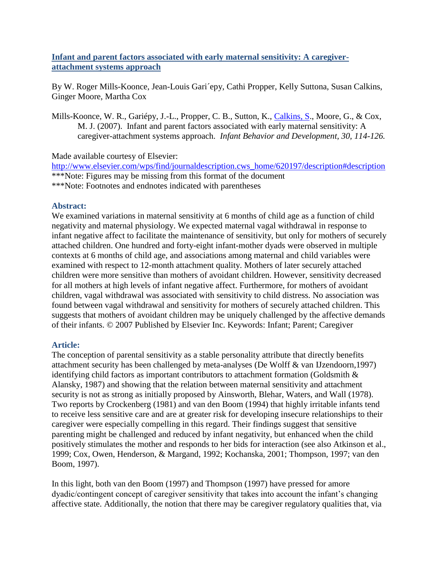# **Infant and parent factors associated with early maternal sensitivity: A caregiverattachment systems approach**

By W. Roger Mills-Koonce, Jean-Louis Gari´epy, Cathi Propper, Kelly Suttona, Susan Calkins, Ginger Moore, Martha Cox

Mills-Koonce, W. R., Gariépy, J.-L., Propper, C. B., Sutton, K., [Calkins, S.](http://libres.uncg.edu/ir/clist.aspx?id=1258), Moore, G., & Cox, M. J. (2007). Infant and parent factors associated with early maternal sensitivity: A caregiver-attachment systems approach. *Infant Behavior and Development, 30, 114-126.*

## Made available courtesy of Elsevier:

[http://www.elsevier.com/wps/find/journaldescription.cws\\_home/620197/description#description](http://www.elsevier.com/wps/find/journaldescription.cws_home/620197/description#description) \*\*\*Note: Figures may be missing from this format of the document \*\*\*Note: Footnotes and endnotes indicated with parentheses

## **Abstract:**

We examined variations in maternal sensitivity at 6 months of child age as a function of child negativity and maternal physiology. We expected maternal vagal withdrawal in response to infant negative affect to facilitate the maintenance of sensitivity, but only for mothers of securely attached children. One hundred and forty-eight infant-mother dyads were observed in multiple contexts at 6 months of child age, and associations among maternal and child variables were examined with respect to 12-month attachment quality. Mothers of later securely attached children were more sensitive than mothers of avoidant children. However, sensitivity decreased for all mothers at high levels of infant negative affect. Furthermore, for mothers of avoidant children, vagal withdrawal was associated with sensitivity to child distress. No association was found between vagal withdrawal and sensitivity for mothers of securely attached children. This suggests that mothers of avoidant children may be uniquely challenged by the affective demands of their infants. © 2007 Published by Elsevier Inc. Keywords: Infant; Parent; Caregiver

## **Article:**

The conception of parental sensitivity as a stable personality attribute that directly benefits attachment security has been challenged by meta-analyses (De Wolff & van IJzendoorn,1997) identifying child factors as important contributors to attachment formation (Goldsmith & Alansky, 1987) and showing that the relation between maternal sensitivity and attachment security is not as strong as initially proposed by Ainsworth, Blehar, Waters, and Wall (1978). Two reports by Crockenberg (1981) and van den Boom (1994) that highly irritable infants tend to receive less sensitive care and are at greater risk for developing insecure relationships to their caregiver were especially compelling in this regard. Their findings suggest that sensitive parenting might be challenged and reduced by infant negativity, but enhanced when the child positively stimulates the mother and responds to her bids for interaction (see also Atkinson et al., 1999; Cox, Owen, Henderson, & Margand, 1992; Kochanska, 2001; Thompson, 1997; van den Boom, 1997).

In this light, both van den Boom (1997) and Thompson (1997) have pressed for amore dyadic/contingent concept of caregiver sensitivity that takes into account the infant's changing affective state. Additionally, the notion that there may be caregiver regulatory qualities that, via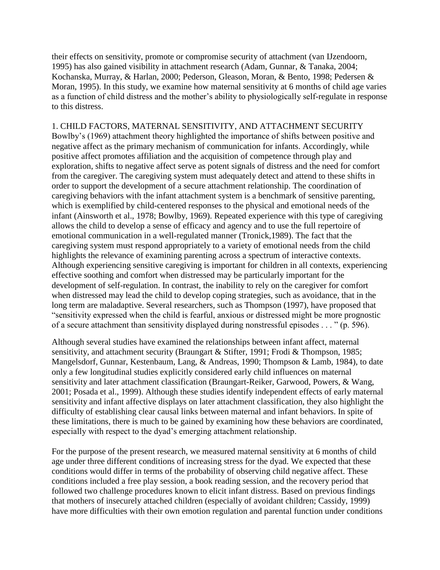their effects on sensitivity, promote or compromise security of attachment (van IJzendoorn, 1995) has also gained visibility in attachment research (Adam, Gunnar, & Tanaka, 2004; Kochanska, Murray, & Harlan, 2000; Pederson, Gleason, Moran, & Bento, 1998; Pedersen & Moran, 1995). In this study, we examine how maternal sensitivity at 6 months of child age varies as a function of child distress and the mother's ability to physiologically self-regulate in response to this distress.

# 1. CHILD FACTORS, MATERNAL SENSITIVITY, AND ATTACHMENT SECURITY Bowlby's (1969) attachment theory highlighted the importance of shifts between positive and negative affect as the primary mechanism of communication for infants. Accordingly, while positive affect promotes affiliation and the acquisition of competence through play and exploration, shifts to negative affect serve as potent signals of distress and the need for comfort from the caregiver. The caregiving system must adequately detect and attend to these shifts in order to support the development of a secure attachment relationship. The coordination of caregiving behaviors with the infant attachment system is a benchmark of sensitive parenting, which is exemplified by child-centered responses to the physical and emotional needs of the infant (Ainsworth et al., 1978; Bowlby, 1969). Repeated experience with this type of caregiving allows the child to develop a sense of efficacy and agency and to use the full repertoire of emotional communication in a well-regulated manner (Tronick,1989). The fact that the caregiving system must respond appropriately to a variety of emotional needs from the child highlights the relevance of examining parenting across a spectrum of interactive contexts. Although experiencing sensitive caregiving is important for children in all contexts, experiencing effective soothing and comfort when distressed may be particularly important for the

development of self-regulation. In contrast, the inability to rely on the caregiver for comfort when distressed may lead the child to develop coping strategies, such as avoidance, that in the long term are maladaptive. Several researchers, such as Thompson (1997), have proposed that ―sensitivity expressed when the child is fearful, anxious or distressed might be more prognostic of a secure attachment than sensitivity displayed during nonstressful episodes  $\dots$  " (p. 596).

Although several studies have examined the relationships between infant affect, maternal sensitivity, and attachment security (Braungart & Stifter, 1991; Frodi & Thompson, 1985; Mangelsdorf, Gunnar, Kestenbaum, Lang, & Andreas, 1990; Thompson & Lamb, 1984), to date only a few longitudinal studies explicitly considered early child influences on maternal sensitivity and later attachment classification (Braungart-Reiker, Garwood, Powers, & Wang, 2001; Posada et al., 1999). Although these studies identify independent effects of early maternal sensitivity and infant affective displays on later attachment classification, they also highlight the difficulty of establishing clear causal links between maternal and infant behaviors. In spite of these limitations, there is much to be gained by examining how these behaviors are coordinated, especially with respect to the dyad's emerging attachment relationship.

For the purpose of the present research, we measured maternal sensitivity at 6 months of child age under three different conditions of increasing stress for the dyad. We expected that these conditions would differ in terms of the probability of observing child negative affect. These conditions included a free play session, a book reading session, and the recovery period that followed two challenge procedures known to elicit infant distress. Based on previous findings that mothers of insecurely attached children (especially of avoidant children; Cassidy, 1999) have more difficulties with their own emotion regulation and parental function under conditions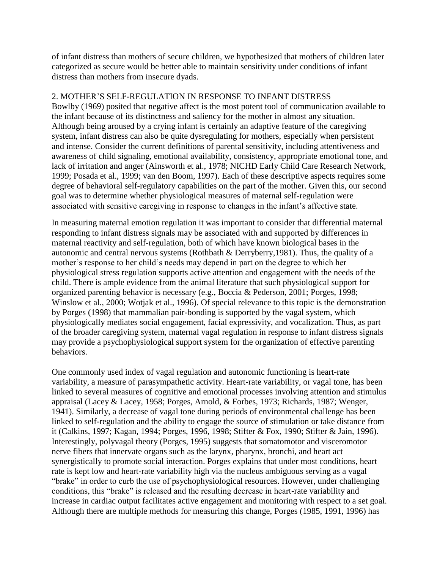of infant distress than mothers of secure children, we hypothesized that mothers of children later categorized as secure would be better able to maintain sensitivity under conditions of infant distress than mothers from insecure dyads.

## 2. MOTHER'S SELF-REGULATION IN RESPONSE TO INFANT DISTRESS

Bowlby (1969) posited that negative affect is the most potent tool of communication available to the infant because of its distinctness and saliency for the mother in almost any situation. Although being aroused by a crying infant is certainly an adaptive feature of the caregiving system, infant distress can also be quite dysregulating for mothers, especially when persistent and intense. Consider the current definitions of parental sensitivity, including attentiveness and awareness of child signaling, emotional availability, consistency, appropriate emotional tone, and lack of irritation and anger (Ainsworth et al., 1978; NICHD Early Child Care Research Network, 1999; Posada et al., 1999; van den Boom, 1997). Each of these descriptive aspects requires some degree of behavioral self-regulatory capabilities on the part of the mother. Given this, our second goal was to determine whether physiological measures of maternal self-regulation were associated with sensitive caregiving in response to changes in the infant's affective state.

In measuring maternal emotion regulation it was important to consider that differential maternal responding to infant distress signals may be associated with and supported by differences in maternal reactivity and self-regulation, both of which have known biological bases in the autonomic and central nervous systems (Rothbath & Derryberry,1981). Thus, the quality of a mother's response to her child's needs may depend in part on the degree to which her physiological stress regulation supports active attention and engagement with the needs of the child. There is ample evidence from the animal literature that such physiological support for organized parenting behavior is necessary (e.g., Boccia & Pederson, 2001; Porges, 1998; Winslow et al., 2000; Wotjak et al., 1996). Of special relevance to this topic is the demonstration by Porges (1998) that mammalian pair-bonding is supported by the vagal system, which physiologically mediates social engagement, facial expressivity, and vocalization. Thus, as part of the broader caregiving system, maternal vagal regulation in response to infant distress signals may provide a psychophysiological support system for the organization of effective parenting behaviors.

One commonly used index of vagal regulation and autonomic functioning is heart-rate variability, a measure of parasympathetic activity. Heart-rate variability, or vagal tone, has been linked to several measures of cognitive and emotional processes involving attention and stimulus appraisal (Lacey & Lacey, 1958; Porges, Arnold, & Forbes, 1973; Richards, 1987; Wenger, 1941). Similarly, a decrease of vagal tone during periods of environmental challenge has been linked to self-regulation and the ability to engage the source of stimulation or take distance from it (Calkins, 1997; Kagan, 1994; Porges, 1996, 1998; Stifter & Fox, 1990; Stifter & Jain, 1996). Interestingly, polyvagal theory (Porges, 1995) suggests that somatomotor and visceromotor nerve fibers that innervate organs such as the larynx, pharynx, bronchi, and heart act synergistically to promote social interaction. Porges explains that under most conditions, heart rate is kept low and heart-rate variability high via the nucleus ambiguous serving as a vagal "brake" in order to curb the use of psychophysiological resources. However, under challenging conditions, this "brake" is released and the resulting decrease in heart-rate variability and increase in cardiac output facilitates active engagement and monitoring with respect to a set goal. Although there are multiple methods for measuring this change, Porges (1985, 1991, 1996) has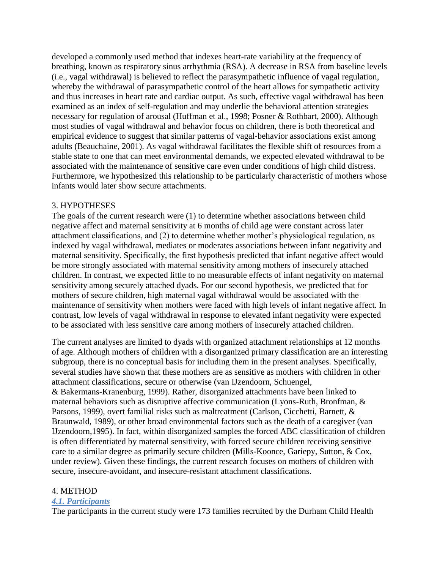developed a commonly used method that indexes heart-rate variability at the frequency of breathing, known as respiratory sinus arrhythmia (RSA). A decrease in RSA from baseline levels (i.e., vagal withdrawal) is believed to reflect the parasympathetic influence of vagal regulation, whereby the withdrawal of parasympathetic control of the heart allows for sympathetic activity and thus increases in heart rate and cardiac output. As such, effective vagal withdrawal has been examined as an index of self-regulation and may underlie the behavioral attention strategies necessary for regulation of arousal (Huffman et al., 1998; Posner & Rothbart, 2000). Although most studies of vagal withdrawal and behavior focus on children, there is both theoretical and empirical evidence to suggest that similar patterns of vagal-behavior associations exist among adults (Beauchaine, 2001). As vagal withdrawal facilitates the flexible shift of resources from a stable state to one that can meet environmental demands, we expected elevated withdrawal to be associated with the maintenance of sensitive care even under conditions of high child distress. Furthermore, we hypothesized this relationship to be particularly characteristic of mothers whose infants would later show secure attachments.

# 3. HYPOTHESES

The goals of the current research were (1) to determine whether associations between child negative affect and maternal sensitivity at 6 months of child age were constant across later attachment classifications, and (2) to determine whether mother's physiological regulation, as indexed by vagal withdrawal, mediates or moderates associations between infant negativity and maternal sensitivity. Specifically, the first hypothesis predicted that infant negative affect would be more strongly associated with maternal sensitivity among mothers of insecurely attached children. In contrast, we expected little to no measurable effects of infant negativity on maternal sensitivity among securely attached dyads. For our second hypothesis, we predicted that for mothers of secure children, high maternal vagal withdrawal would be associated with the maintenance of sensitivity when mothers were faced with high levels of infant negative affect. In contrast, low levels of vagal withdrawal in response to elevated infant negativity were expected to be associated with less sensitive care among mothers of insecurely attached children.

The current analyses are limited to dyads with organized attachment relationships at 12 months of age. Although mothers of children with a disorganized primary classification are an interesting subgroup, there is no conceptual basis for including them in the present analyses. Specifically, several studies have shown that these mothers are as sensitive as mothers with children in other attachment classifications, secure or otherwise (van IJzendoorn, Schuengel, & Bakermans-Kranenburg, 1999). Rather, disorganized attachments have been linked to maternal behaviors such as disruptive affective communication (Lyons-Ruth, Bronfman, & Parsons, 1999), overt familial risks such as maltreatment (Carlson, Cicchetti, Barnett, & Braunwald, 1989), or other broad environmental factors such as the death of a caregiver (van IJzendoorn,1995). In fact, within disorganized samples the forced ABC classification of children is often differentiated by maternal sensitivity, with forced secure children receiving sensitive care to a similar degree as primarily secure children (Mills-Koonce, Gariepy, Sutton, & Cox, under review). Given these findings, the current research focuses on mothers of children with secure, insecure-avoidant, and insecure-resistant attachment classifications.

# 4. METHOD

## *4.1. Participants*

The participants in the current study were 173 families recruited by the Durham Child Health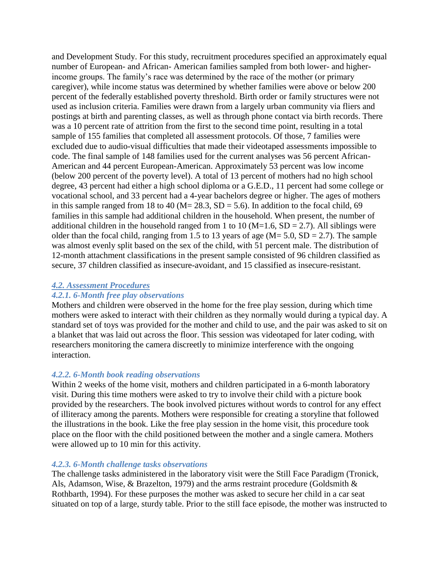and Development Study. For this study, recruitment procedures specified an approximately equal number of European- and African- American families sampled from both lower- and higherincome groups. The family's race was determined by the race of the mother (or primary caregiver), while income status was determined by whether families were above or below 200 percent of the federally established poverty threshold. Birth order or family structures were not used as inclusion criteria. Families were drawn from a largely urban community via fliers and postings at birth and parenting classes, as well as through phone contact via birth records. There was a 10 percent rate of attrition from the first to the second time point, resulting in a total sample of 155 families that completed all assessment protocols. Of those, 7 families were excluded due to audio-visual difficulties that made their videotaped assessments impossible to code. The final sample of 148 families used for the current analyses was 56 percent African-American and 44 percent European-American. Approximately 53 percent was low income (below 200 percent of the poverty level). A total of 13 percent of mothers had no high school degree, 43 percent had either a high school diploma or a G.E.D., 11 percent had some college or vocational school, and 33 percent had a 4-year bachelors degree or higher. The ages of mothers in this sample ranged from 18 to 40 ( $M = 28.3$ ,  $SD = 5.6$ ). In addition to the focal child, 69 families in this sample had additional children in the household. When present, the number of additional children in the household ranged from 1 to 10 ( $M=1.6$ ,  $SD = 2.7$ ). All siblings were older than the focal child, ranging from 1.5 to 13 years of age ( $M = 5.0$ ,  $SD = 2.7$ ). The sample was almost evenly split based on the sex of the child, with 51 percent male. The distribution of 12-month attachment classifications in the present sample consisted of 96 children classified as secure, 37 children classified as insecure-avoidant, and 15 classified as insecure-resistant.

## *4.2. Assessment Procedures*

## *4.2.1. 6-Month free play observations*

Mothers and children were observed in the home for the free play session, during which time mothers were asked to interact with their children as they normally would during a typical day. A standard set of toys was provided for the mother and child to use, and the pair was asked to sit on a blanket that was laid out across the floor. This session was videotaped for later coding, with researchers monitoring the camera discreetly to minimize interference with the ongoing interaction.

## *4.2.2. 6-Month book reading observations*

Within 2 weeks of the home visit, mothers and children participated in a 6-month laboratory visit. During this time mothers were asked to try to involve their child with a picture book provided by the researchers. The book involved pictures without words to control for any effect of illiteracy among the parents. Mothers were responsible for creating a storyline that followed the illustrations in the book. Like the free play session in the home visit, this procedure took place on the floor with the child positioned between the mother and a single camera. Mothers were allowed up to 10 min for this activity.

## *4.2.3. 6-Month challenge tasks observations*

The challenge tasks administered in the laboratory visit were the Still Face Paradigm (Tronick, Als, Adamson, Wise, & Brazelton, 1979) and the arms restraint procedure (Goldsmith & Rothbarth, 1994). For these purposes the mother was asked to secure her child in a car seat situated on top of a large, sturdy table. Prior to the still face episode, the mother was instructed to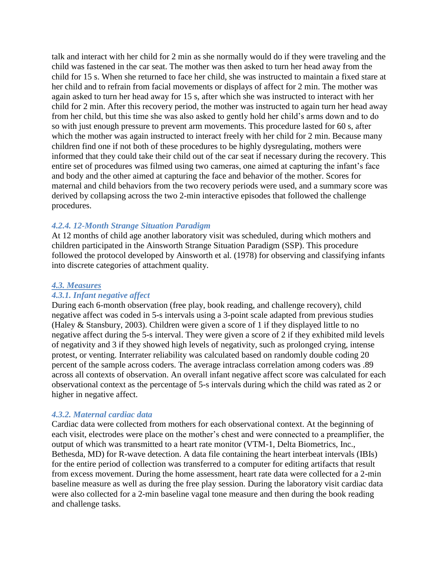talk and interact with her child for 2 min as she normally would do if they were traveling and the child was fastened in the car seat. The mother was then asked to turn her head away from the child for 15 s. When she returned to face her child, she was instructed to maintain a fixed stare at her child and to refrain from facial movements or displays of affect for 2 min. The mother was again asked to turn her head away for 15 s, after which she was instructed to interact with her child for 2 min. After this recovery period, the mother was instructed to again turn her head away from her child, but this time she was also asked to gently hold her child's arms down and to do so with just enough pressure to prevent arm movements. This procedure lasted for 60 s, after which the mother was again instructed to interact freely with her child for 2 min. Because many children find one if not both of these procedures to be highly dysregulating, mothers were informed that they could take their child out of the car seat if necessary during the recovery. This entire set of procedures was filmed using two cameras, one aimed at capturing the infant's face and body and the other aimed at capturing the face and behavior of the mother. Scores for maternal and child behaviors from the two recovery periods were used, and a summary score was derived by collapsing across the two 2-min interactive episodes that followed the challenge procedures.

## *4.2.4. 12-Month Strange Situation Paradigm*

At 12 months of child age another laboratory visit was scheduled, during which mothers and children participated in the Ainsworth Strange Situation Paradigm (SSP). This procedure followed the protocol developed by Ainsworth et al. (1978) for observing and classifying infants into discrete categories of attachment quality.

#### *4.3. Measures*

#### *4.3.1. Infant negative affect*

During each 6-month observation (free play, book reading, and challenge recovery), child negative affect was coded in 5-s intervals using a 3-point scale adapted from previous studies (Haley & Stansbury, 2003). Children were given a score of 1 if they displayed little to no negative affect during the 5-s interval. They were given a score of 2 if they exhibited mild levels of negativity and 3 if they showed high levels of negativity, such as prolonged crying, intense protest, or venting. Interrater reliability was calculated based on randomly double coding 20 percent of the sample across coders. The average intraclass correlation among coders was .89 across all contexts of observation. An overall infant negative affect score was calculated for each observational context as the percentage of 5-s intervals during which the child was rated as 2 or higher in negative affect.

#### *4.3.2. Maternal cardiac data*

Cardiac data were collected from mothers for each observational context. At the beginning of each visit, electrodes were place on the mother's chest and were connected to a preamplifier, the output of which was transmitted to a heart rate monitor (VTM-1, Delta Biometrics, Inc., Bethesda, MD) for R-wave detection. A data file containing the heart interbeat intervals (IBIs) for the entire period of collection was transferred to a computer for editing artifacts that result from excess movement. During the home assessment, heart rate data were collected for a 2-min baseline measure as well as during the free play session. During the laboratory visit cardiac data were also collected for a 2-min baseline vagal tone measure and then during the book reading and challenge tasks.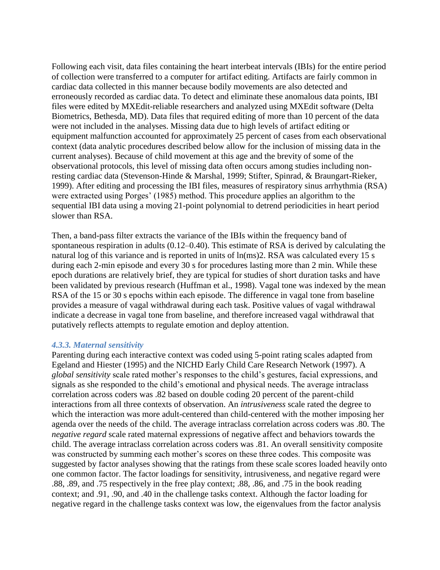Following each visit, data files containing the heart interbeat intervals (IBIs) for the entire period of collection were transferred to a computer for artifact editing. Artifacts are fairly common in cardiac data collected in this manner because bodily movements are also detected and erroneously recorded as cardiac data. To detect and eliminate these anomalous data points, IBI files were edited by MXEdit-reliable researchers and analyzed using MXEdit software (Delta Biometrics, Bethesda, MD). Data files that required editing of more than 10 percent of the data were not included in the analyses. Missing data due to high levels of artifact editing or equipment malfunction accounted for approximately 25 percent of cases from each observational context (data analytic procedures described below allow for the inclusion of missing data in the current analyses). Because of child movement at this age and the brevity of some of the observational protocols, this level of missing data often occurs among studies including nonresting cardiac data (Stevenson-Hinde & Marshal, 1999; Stifter, Spinrad, & Braungart-Rieker, 1999). After editing and processing the IBI files, measures of respiratory sinus arrhythmia (RSA) were extracted using Porges' (1985) method. This procedure applies an algorithm to the sequential IBI data using a moving 21-point polynomial to detrend periodicities in heart period slower than RSA.

Then, a band-pass filter extracts the variance of the IBIs within the frequency band of spontaneous respiration in adults (0.12–0.40). This estimate of RSA is derived by calculating the natural log of this variance and is reported in units of ln(ms)2. RSA was calculated every 15 s during each 2-min episode and every 30 s for procedures lasting more than 2 min. While these epoch durations are relatively brief, they are typical for studies of short duration tasks and have been validated by previous research (Huffman et al., 1998). Vagal tone was indexed by the mean RSA of the 15 or 30 s epochs within each episode. The difference in vagal tone from baseline provides a measure of vagal withdrawal during each task. Positive values of vagal withdrawal indicate a decrease in vagal tone from baseline, and therefore increased vagal withdrawal that putatively reflects attempts to regulate emotion and deploy attention.

#### *4.3.3. Maternal sensitivity*

Parenting during each interactive context was coded using 5-point rating scales adapted from Egeland and Hiester (1995) and the NICHD Early Child Care Research Network (1997). A *global sensitivity* scale rated mother's responses to the child's gestures, facial expressions, and signals as she responded to the child's emotional and physical needs. The average intraclass correlation across coders was .82 based on double coding 20 percent of the parent-child interactions from all three contexts of observation. An *intrusiveness* scale rated the degree to which the interaction was more adult-centered than child-centered with the mother imposing her agenda over the needs of the child. The average intraclass correlation across coders was .80. The *negative regard* scale rated maternal expressions of negative affect and behaviors towards the child. The average intraclass correlation across coders was .81. An overall sensitivity composite was constructed by summing each mother's scores on these three codes. This composite was suggested by factor analyses showing that the ratings from these scale scores loaded heavily onto one common factor. The factor loadings for sensitivity, intrusiveness, and negative regard were .88, .89, and .75 respectively in the free play context; .88, .86, and .75 in the book reading context; and .91, .90, and .40 in the challenge tasks context. Although the factor loading for negative regard in the challenge tasks context was low, the eigenvalues from the factor analysis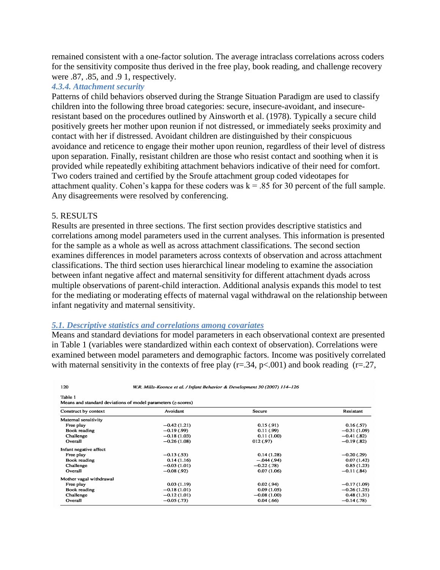remained consistent with a one-factor solution. The average intraclass correlations across coders for the sensitivity composite thus derived in the free play, book reading, and challenge recovery were .87, .85, and .9 1, respectively.

## *4.3.4. Attachment security*

Patterns of child behaviors observed during the Strange Situation Paradigm are used to classify children into the following three broad categories: secure, insecure-avoidant, and insecureresistant based on the procedures outlined by Ainsworth et al. (1978). Typically a secure child positively greets her mother upon reunion if not distressed, or immediately seeks proximity and contact with her if distressed. Avoidant children are distinguished by their conspicuous avoidance and reticence to engage their mother upon reunion, regardless of their level of distress upon separation. Finally, resistant children are those who resist contact and soothing when it is provided while repeatedly exhibiting attachment behaviors indicative of their need for comfort. Two coders trained and certified by the Sroufe attachment group coded videotapes for attachment quality. Cohen's kappa for these coders was  $k = 0.85$  for 30 percent of the full sample. Any disagreements were resolved by conferencing.

#### 5. RESULTS

 $120$ 

Results are presented in three sections. The first section provides descriptive statistics and correlations among model parameters used in the current analyses. This information is presented for the sample as a whole as well as across attachment classifications. The second section examines differences in model parameters across contexts of observation and across attachment classifications. The third section uses hierarchical linear modeling to examine the association between infant negative affect and maternal sensitivity for different attachment dyads across multiple observations of parent-child interaction. Additional analysis expands this model to test for the mediating or moderating effects of maternal vagal withdrawal on the relationship between infant negativity and maternal sensitivity.

#### *5.1. Descriptive statistics and correlations among covariates*

Means and standard deviations for model parameters in each observational context are presented in Table 1 (variables were standardized within each context of observation). Correlations were examined between model parameters and demographic factors. Income was positively correlated with maternal sensitivity in the contexts of free play ( $r = .34$ ,  $p < .001$ ) and book reading ( $r = .27$ ,

W.R. Mills-Koonce et al. / Infant Behavior & Development 30 (2007) 114-126

| Construct by context    | Avoidant      | Secure        | Resistant     |  |
|-------------------------|---------------|---------------|---------------|--|
| Maternal sensitivity    |               |               |               |  |
| Free play               | $-0.42(1.21)$ | 0.15(0.91)    | 0.16(0.57)    |  |
| Book reading            | $-0.19(0.99)$ | 0.11(0.99)    | $-0.31(1.09)$ |  |
| Challenge               | $-0.18(1.03)$ | 0.11(1.00)    | $-0.41(0.82)$ |  |
| Overall                 | $-0.26(1.08)$ | 012(0.97)     | $-0.19(0.82)$ |  |
| Infant negative affect  |               |               |               |  |
| Free play               | $-0.13(53)$   | 0.14(1.28)    | $-0.20(0.29)$ |  |
| Book reading            | 0.14(1.16)    | $-.044(.94)$  | 0.07(1.42)    |  |
| Challenge               | $-0.03(1.01)$ | $-0.22(0.78)$ | 0.85(1.23)    |  |
| Overall                 | $-0.08(0.92)$ | 0.07(1.06)    | $-0.11(0.84)$ |  |
| Mother vagal withdrawal |               |               |               |  |
| Free play               | 0.03(1.19)    | 0.02(0.94)    | $-0.17(1.09)$ |  |
| Book reading            | $-0.18(1.01)$ | 0.09(1.05)    | $-0.26(1.25)$ |  |
| Challenge               | $-0.12(1.01)$ | $-0.08(1.00)$ | 0.48(1.31)    |  |
| Overall                 | $-0.05(0.73)$ | 0.04(0.66)    | $-0.14(0.78)$ |  |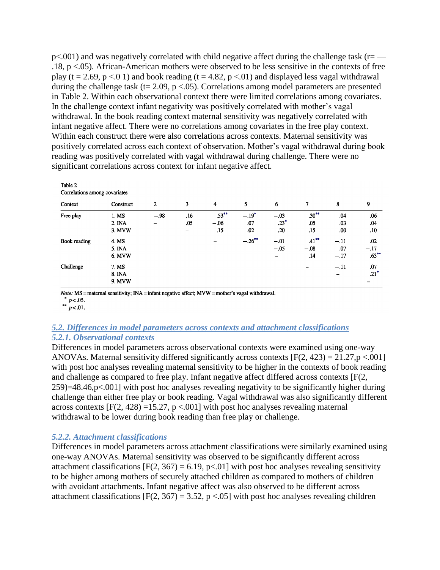$p<.001$ ) and was negatively correlated with child negative affect during the challenge task ( $r=-$ .18, p <.05). African-American mothers were observed to be less sensitive in the contexts of free play (t = 2.69, p <.0 1) and book reading (t = 4.82, p <.01) and displayed less vagal withdrawal during the challenge task (t=  $2.09$ , p <.05). Correlations among model parameters are presented in Table 2. Within each observational context there were limited correlations among covariates. In the challenge context infant negativity was positively correlated with mother's vagal withdrawal. In the book reading context maternal sensitivity was negatively correlated with infant negative affect. There were no correlations among covariates in the free play context. Within each construct there were also correlations across contexts. Maternal sensitivity was positively correlated across each context of observation. Mother's vagal withdrawal during book reading was positively correlated with vagal withdrawal during challenge. There were no significant correlations across context for infant negative affect.

| Context      | Construct | $\overline{2}$ | 3                        | 4        | 5         | 6      |          | 8                        | 9        |
|--------------|-----------|----------------|--------------------------|----------|-----------|--------|----------|--------------------------|----------|
| Free play    | 1. MS     | $-.98$         | .16                      | $.53***$ | $-.19*$   | $-.03$ | $.30***$ | .04                      | .06      |
|              | 2. INA    | -              | .05                      | $-.06$   | .07       | $.23*$ | .05      | .03                      | .04      |
|              | 3. MVW    |                | $\overline{\phantom{0}}$ | .15      | .02       | .20    | .15      | .00                      | .10      |
| Book reading | 4. MS     |                |                          |          | $-.26$ ** | $-.01$ | $.41***$ | $-.11$                   | .02      |
|              | 5. INA    |                |                          |          |           | $-.05$ | $-.08$   | .07                      | $-.17$   |
|              | 6. MVW    |                |                          |          |           | -      | .14      | $-.17$                   | $.63***$ |
| Challenge    | 7. MS     |                |                          |          |           |        |          | $-.11$                   | .07      |
|              | 8. INA    |                |                          |          |           |        |          | $\overline{\phantom{0}}$ | $.21*$   |
|              | 9. MVW    |                |                          |          |           |        |          |                          |          |

Note: MS = maternal sensitivity; INA = infant negative affect; MVW = mother's vagal withdrawal.

\*  $p < .05$ .<br>\*\*  $p < .01$ .

Table 2

# *5.2. Differences in model parameters across contexts and attachment classifications*

## *5.2.1. Observational contexts*

Differences in model parameters across observational contexts were examined using one-way ANOVAs. Maternal sensitivity differed significantly across contexts  $[F(2, 423) = 21.27, p < 0.001]$ with post hoc analyses revealing maternal sensitivity to be higher in the contexts of book reading and challenge as compared to free play. Infant negative affect differed across contexts [F(2, 259)=48.46,p<.001] with post hoc analyses revealing negativity to be significantly higher during challenge than either free play or book reading. Vagal withdrawal was also significantly different across contexts  $[F(2, 428) = 15.27, p < .001]$  with post hoc analyses revealing maternal withdrawal to be lower during book reading than free play or challenge.

## *5.2.2. Attachment classifications*

Differences in model parameters across attachment classifications were similarly examined using one-way ANOVAs. Maternal sensitivity was observed to be significantly different across attachment classifications  $[F(2, 367) = 6.19, p<0.01]$  with post hoc analyses revealing sensitivity to be higher among mothers of securely attached children as compared to mothers of children with avoidant attachments. Infant negative affect was also observed to be different across attachment classifications  $[F(2, 367) = 3.52, p < .05]$  with post hoc analyses revealing children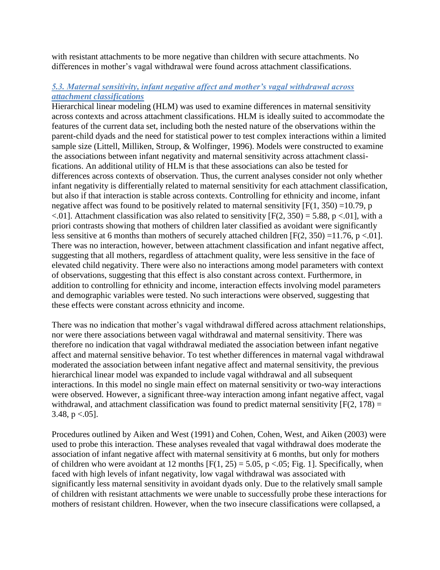with resistant attachments to be more negative than children with secure attachments. No differences in mother's vagal withdrawal were found across attachment classifications.

# *5.3. Maternal sensitivity, infant negative affect and mother's vagal withdrawal across attachment classifications*

Hierarchical linear modeling (HLM) was used to examine differences in maternal sensitivity across contexts and across attachment classifications. HLM is ideally suited to accommodate the features of the current data set, including both the nested nature of the observations within the parent-child dyads and the need for statistical power to test complex interactions within a limited sample size (Littell, Milliken, Stroup, & Wolfinger, 1996). Models were constructed to examine the associations between infant negativity and maternal sensitivity across attachment classifications. An additional utility of HLM is that these associations can also be tested for differences across contexts of observation. Thus, the current analyses consider not only whether infant negativity is differentially related to maternal sensitivity for each attachment classification, but also if that interaction is stable across contexts. Controlling for ethnicity and income, infant negative affect was found to be positively related to maternal sensitivity  $[F(1, 350) = 10.79$ , p  $\leq$ .01]. Attachment classification was also related to sensitivity [F(2, 350) = 5.88, p  $\leq$ .01], with a priori contrasts showing that mothers of children later classified as avoidant were significantly less sensitive at 6 months than mothers of securely attached children  $[F(2, 350) = 11.76, p < 0.01]$ . There was no interaction, however, between attachment classification and infant negative affect, suggesting that all mothers, regardless of attachment quality, were less sensitive in the face of elevated child negativity. There were also no interactions among model parameters with context of observations, suggesting that this effect is also constant across context. Furthermore, in addition to controlling for ethnicity and income, interaction effects involving model parameters and demographic variables were tested. No such interactions were observed, suggesting that these effects were constant across ethnicity and income.

There was no indication that mother's vagal withdrawal differed across attachment relationships, nor were there associations between vagal withdrawal and maternal sensitivity. There was therefore no indication that vagal withdrawal mediated the association between infant negative affect and maternal sensitive behavior. To test whether differences in maternal vagal withdrawal moderated the association between infant negative affect and maternal sensitivity, the previous hierarchical linear model was expanded to include vagal withdrawal and all subsequent interactions. In this model no single main effect on maternal sensitivity or two-way interactions were observed. However, a significant three-way interaction among infant negative affect, vagal withdrawal, and attachment classification was found to predict maternal sensitivity  $[F(2, 178) =$ 3.48,  $p < .05$ ].

Procedures outlined by Aiken and West (1991) and Cohen, Cohen, West, and Aiken (2003) were used to probe this interaction. These analyses revealed that vagal withdrawal does moderate the association of infant negative affect with maternal sensitivity at 6 months, but only for mothers of children who were avoidant at 12 months  $[F(1, 25) = 5.05, p < 0.05; Fig. 1]$ . Specifically, when faced with high levels of infant negativity, low vagal withdrawal was associated with significantly less maternal sensitivity in avoidant dyads only. Due to the relatively small sample of children with resistant attachments we were unable to successfully probe these interactions for mothers of resistant children. However, when the two insecure classifications were collapsed, a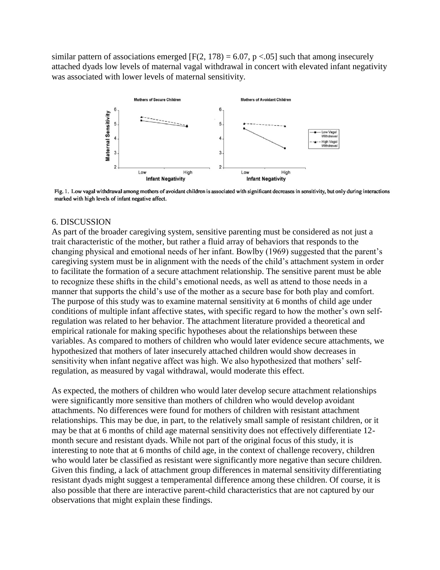similar pattern of associations emerged  $[F(2, 178) = 6.07, p < 0.05]$  such that among insecurely attached dyads low levels of maternal vagal withdrawal in concert with elevated infant negativity was associated with lower levels of maternal sensitivity.



Fig. 1. Low vagal withdrawal among mothers of avoidant children is associated with significant decreases in sensitivity, but only during interactions marked with high levels of infant negative affect.

## 6. DISCUSSION

As part of the broader caregiving system, sensitive parenting must be considered as not just a trait characteristic of the mother, but rather a fluid array of behaviors that responds to the changing physical and emotional needs of her infant. Bowlby (1969) suggested that the parent's caregiving system must be in alignment with the needs of the child's attachment system in order to facilitate the formation of a secure attachment relationship. The sensitive parent must be able to recognize these shifts in the child's emotional needs, as well as attend to those needs in a manner that supports the child's use of the mother as a secure base for both play and comfort. The purpose of this study was to examine maternal sensitivity at 6 months of child age under conditions of multiple infant affective states, with specific regard to how the mother's own selfregulation was related to her behavior. The attachment literature provided a theoretical and empirical rationale for making specific hypotheses about the relationships between these variables. As compared to mothers of children who would later evidence secure attachments, we hypothesized that mothers of later insecurely attached children would show decreases in sensitivity when infant negative affect was high. We also hypothesized that mothers' selfregulation, as measured by vagal withdrawal, would moderate this effect.

As expected, the mothers of children who would later develop secure attachment relationships were significantly more sensitive than mothers of children who would develop avoidant attachments. No differences were found for mothers of children with resistant attachment relationships. This may be due, in part, to the relatively small sample of resistant children, or it may be that at 6 months of child age maternal sensitivity does not effectively differentiate 12 month secure and resistant dyads. While not part of the original focus of this study, it is interesting to note that at 6 months of child age, in the context of challenge recovery, children who would later be classified as resistant were significantly more negative than secure children. Given this finding, a lack of attachment group differences in maternal sensitivity differentiating resistant dyads might suggest a temperamental difference among these children. Of course, it is also possible that there are interactive parent-child characteristics that are not captured by our observations that might explain these findings.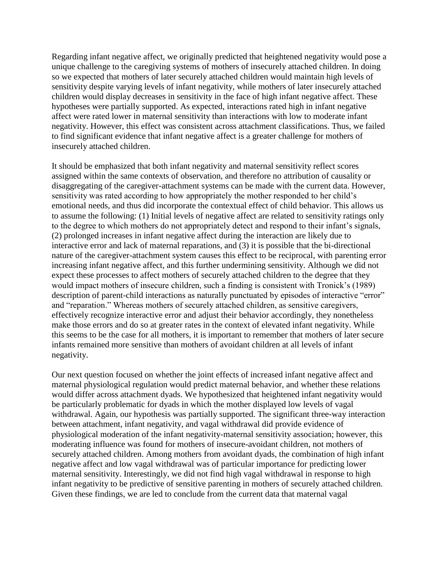Regarding infant negative affect, we originally predicted that heightened negativity would pose a unique challenge to the caregiving systems of mothers of insecurely attached children. In doing so we expected that mothers of later securely attached children would maintain high levels of sensitivity despite varying levels of infant negativity, while mothers of later insecurely attached children would display decreases in sensitivity in the face of high infant negative affect. These hypotheses were partially supported. As expected, interactions rated high in infant negative affect were rated lower in maternal sensitivity than interactions with low to moderate infant negativity. However, this effect was consistent across attachment classifications. Thus, we failed to find significant evidence that infant negative affect is a greater challenge for mothers of insecurely attached children.

It should be emphasized that both infant negativity and maternal sensitivity reflect scores assigned within the same contexts of observation, and therefore no attribution of causality or disaggregating of the caregiver-attachment systems can be made with the current data. However, sensitivity was rated according to how appropriately the mother responded to her child's emotional needs, and thus did incorporate the contextual effect of child behavior. This allows us to assume the following: (1) Initial levels of negative affect are related to sensitivity ratings only to the degree to which mothers do not appropriately detect and respond to their infant's signals, (2) prolonged increases in infant negative affect during the interaction are likely due to interactive error and lack of maternal reparations, and (3) it is possible that the bi-directional nature of the caregiver-attachment system causes this effect to be reciprocal, with parenting error increasing infant negative affect, and this further undermining sensitivity. Although we did not expect these processes to affect mothers of securely attached children to the degree that they would impact mothers of insecure children, such a finding is consistent with Tronick's (1989) description of parent-child interactions as naturally punctuated by episodes of interactive "error" and "reparation." Whereas mothers of securely attached children, as sensitive caregivers, effectively recognize interactive error and adjust their behavior accordingly, they nonetheless make those errors and do so at greater rates in the context of elevated infant negativity. While this seems to be the case for all mothers, it is important to remember that mothers of later secure infants remained more sensitive than mothers of avoidant children at all levels of infant negativity.

Our next question focused on whether the joint effects of increased infant negative affect and maternal physiological regulation would predict maternal behavior, and whether these relations would differ across attachment dyads. We hypothesized that heightened infant negativity would be particularly problematic for dyads in which the mother displayed low levels of vagal withdrawal. Again, our hypothesis was partially supported. The significant three-way interaction between attachment, infant negativity, and vagal withdrawal did provide evidence of physiological moderation of the infant negativity-maternal sensitivity association; however, this moderating influence was found for mothers of insecure-avoidant children, not mothers of securely attached children. Among mothers from avoidant dyads, the combination of high infant negative affect and low vagal withdrawal was of particular importance for predicting lower maternal sensitivity. Interestingly, we did not find high vagal withdrawal in response to high infant negativity to be predictive of sensitive parenting in mothers of securely attached children. Given these findings, we are led to conclude from the current data that maternal vagal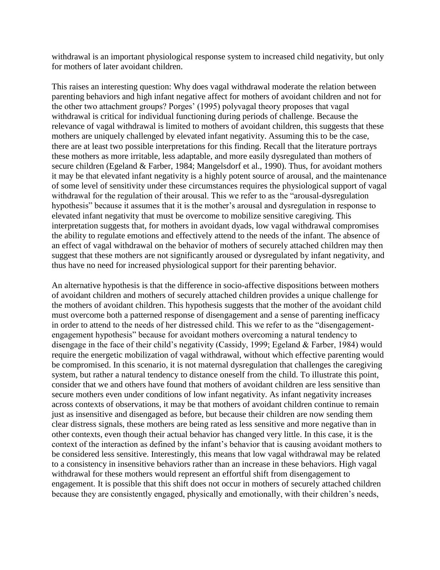withdrawal is an important physiological response system to increased child negativity, but only for mothers of later avoidant children.

This raises an interesting question: Why does vagal withdrawal moderate the relation between parenting behaviors and high infant negative affect for mothers of avoidant children and not for the other two attachment groups? Porges' (1995) polyvagal theory proposes that vagal withdrawal is critical for individual functioning during periods of challenge. Because the relevance of vagal withdrawal is limited to mothers of avoidant children, this suggests that these mothers are uniquely challenged by elevated infant negativity. Assuming this to be the case, there are at least two possible interpretations for this finding. Recall that the literature portrays these mothers as more irritable, less adaptable, and more easily dysregulated than mothers of secure children (Egeland & Farber, 1984; Mangelsdorf et al., 1990). Thus, for avoidant mothers it may be that elevated infant negativity is a highly potent source of arousal, and the maintenance of some level of sensitivity under these circumstances requires the physiological support of vagal withdrawal for the regulation of their arousal. This we refer to as the "arousal-dysregulation" hypothesis" because it assumes that it is the mother's arousal and dysregulation in response to elevated infant negativity that must be overcome to mobilize sensitive caregiving. This interpretation suggests that, for mothers in avoidant dyads, low vagal withdrawal compromises the ability to regulate emotions and effectively attend to the needs of the infant. The absence of an effect of vagal withdrawal on the behavior of mothers of securely attached children may then suggest that these mothers are not significantly aroused or dysregulated by infant negativity, and thus have no need for increased physiological support for their parenting behavior.

An alternative hypothesis is that the difference in socio-affective dispositions between mothers of avoidant children and mothers of securely attached children provides a unique challenge for the mothers of avoidant children. This hypothesis suggests that the mother of the avoidant child must overcome both a patterned response of disengagement and a sense of parenting inefficacy in order to attend to the needs of her distressed child. This we refer to as the "disengagementengagement hypothesis" because for avoidant mothers overcoming a natural tendency to disengage in the face of their child's negativity (Cassidy, 1999; Egeland & Farber, 1984) would require the energetic mobilization of vagal withdrawal, without which effective parenting would be compromised. In this scenario, it is not maternal dysregulation that challenges the caregiving system, but rather a natural tendency to distance oneself from the child. To illustrate this point, consider that we and others have found that mothers of avoidant children are less sensitive than secure mothers even under conditions of low infant negativity. As infant negativity increases across contexts of observations, it may be that mothers of avoidant children continue to remain just as insensitive and disengaged as before, but because their children are now sending them clear distress signals, these mothers are being rated as less sensitive and more negative than in other contexts, even though their actual behavior has changed very little. In this case, it is the context of the interaction as defined by the infant's behavior that is causing avoidant mothers to be considered less sensitive. Interestingly, this means that low vagal withdrawal may be related to a consistency in insensitive behaviors rather than an increase in these behaviors. High vagal withdrawal for these mothers would represent an effortful shift from disengagement to engagement. It is possible that this shift does not occur in mothers of securely attached children because they are consistently engaged, physically and emotionally, with their children's needs,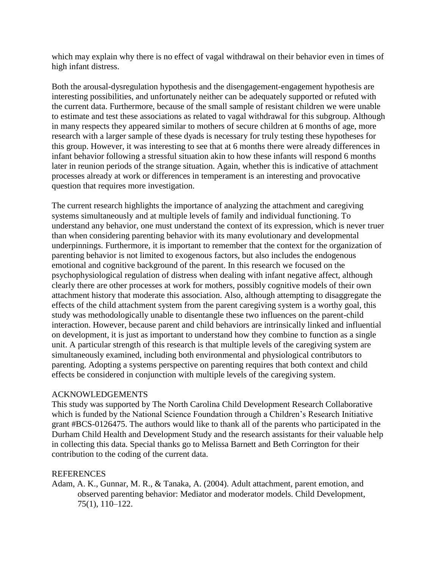which may explain why there is no effect of vagal withdrawal on their behavior even in times of high infant distress.

Both the arousal-dysregulation hypothesis and the disengagement-engagement hypothesis are interesting possibilities, and unfortunately neither can be adequately supported or refuted with the current data. Furthermore, because of the small sample of resistant children we were unable to estimate and test these associations as related to vagal withdrawal for this subgroup. Although in many respects they appeared similar to mothers of secure children at 6 months of age, more research with a larger sample of these dyads is necessary for truly testing these hypotheses for this group. However, it was interesting to see that at 6 months there were already differences in infant behavior following a stressful situation akin to how these infants will respond 6 months later in reunion periods of the strange situation. Again, whether this is indicative of attachment processes already at work or differences in temperament is an interesting and provocative question that requires more investigation.

The current research highlights the importance of analyzing the attachment and caregiving systems simultaneously and at multiple levels of family and individual functioning. To understand any behavior, one must understand the context of its expression, which is never truer than when considering parenting behavior with its many evolutionary and developmental underpinnings. Furthermore, it is important to remember that the context for the organization of parenting behavior is not limited to exogenous factors, but also includes the endogenous emotional and cognitive background of the parent. In this research we focused on the psychophysiological regulation of distress when dealing with infant negative affect, although clearly there are other processes at work for mothers, possibly cognitive models of their own attachment history that moderate this association. Also, although attempting to disaggregate the effects of the child attachment system from the parent caregiving system is a worthy goal, this study was methodologically unable to disentangle these two influences on the parent-child interaction. However, because parent and child behaviors are intrinsically linked and influential on development, it is just as important to understand how they combine to function as a single unit. A particular strength of this research is that multiple levels of the caregiving system are simultaneously examined, including both environmental and physiological contributors to parenting. Adopting a systems perspective on parenting requires that both context and child effects be considered in conjunction with multiple levels of the caregiving system.

## ACKNOWLEDGEMENTS

This study was supported by The North Carolina Child Development Research Collaborative which is funded by the National Science Foundation through a Children's Research Initiative grant #BCS-0126475. The authors would like to thank all of the parents who participated in the Durham Child Health and Development Study and the research assistants for their valuable help in collecting this data. Special thanks go to Melissa Barnett and Beth Corrington for their contribution to the coding of the current data.

## REFERENCES

Adam, A. K., Gunnar, M. R., & Tanaka, A. (2004). Adult attachment, parent emotion, and observed parenting behavior: Mediator and moderator models. Child Development, 75(1), 110–122.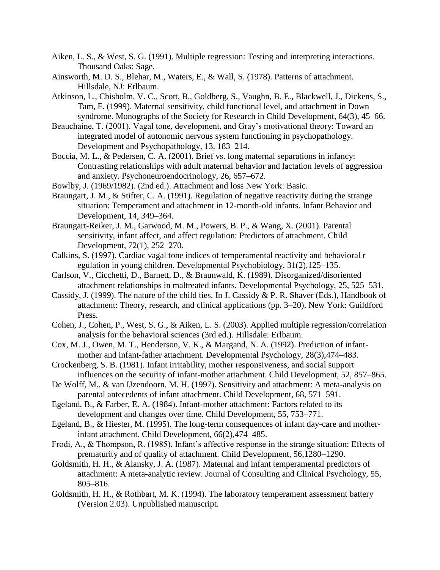- Aiken, L. S., & West, S. G. (1991). Multiple regression: Testing and interpreting interactions. Thousand Oaks: Sage.
- Ainsworth, M. D. S., Blehar, M., Waters, E., & Wall, S. (1978). Patterns of attachment. Hillsdale, NJ: Erlbaum.
- Atkinson, L., Chisholm, V. C., Scott, B., Goldberg, S., Vaughn, B. E., Blackwell, J., Dickens, S., Tam, F. (1999). Maternal sensitivity, child functional level, and attachment in Down syndrome. Monographs of the Society for Research in Child Development, 64(3), 45–66.
- Beauchaine, T. (2001). Vagal tone, development, and Gray's motivational theory: Toward an integrated model of autonomic nervous system functioning in psychopathology. Development and Psychopathology, 13, 183–214.
- Boccia, M. L., & Pedersen, C. A. (2001). Brief vs. long maternal separations in infancy: Contrasting relationships with adult maternal behavior and lactation levels of aggression and anxiety. Psychoneuroendocrinology, 26, 657–672.
- Bowlby, J. (1969/1982). (2nd ed.). Attachment and loss New York: Basic.
- Braungart, J. M., & Stifter, C. A. (1991). Regulation of negative reactivity during the strange situation: Temperament and attachment in 12-month-old infants. Infant Behavior and Development, 14, 349–364.
- Braungart-Reiker, J. M., Garwood, M. M., Powers, B. P., & Wang, X. (2001). Parental sensitivity, infant affect, and affect regulation: Predictors of attachment. Child Development, 72(1), 252–270.
- Calkins, S. (1997). Cardiac vagal tone indices of temperamental reactivity and behavioral r egulation in young children. Developmental Psychobiology, 31(2),125–135.
- Carlson, V., Cicchetti, D., Barnett, D., & Braunwald, K. (1989). Disorganized/disoriented attachment relationships in maltreated infants. Developmental Psychology, 25, 525–531.
- Cassidy, J. (1999). The nature of the child ties. In J. Cassidy & P. R. Shaver (Eds.), Handbook of attachment: Theory, research, and clinical applications (pp. 3–20). New York: Guildford Press.
- Cohen, J., Cohen, P., West, S. G., & Aiken, L. S. (2003). Applied multiple regression/correlation analysis for the behavioral sciences (3rd ed.). Hillsdale: Erlbaum.
- Cox, M. J., Owen, M. T., Henderson, V. K., & Margand, N. A. (1992). Prediction of infantmother and infant-father attachment. Developmental Psychology, 28(3),474–483.
- Crockenberg, S. B. (1981). Infant irritability, mother responsiveness, and social support influences on the security of infant-mother attachment. Child Development, 52, 857–865.
- De Wolff, M., & van IJzendoorn, M. H. (1997). Sensitivity and attachment: A meta-analysis on parental antecedents of infant attachment. Child Development, 68, 571–591.
- Egeland, B., & Farber, E. A. (1984). Infant-mother attachment: Factors related to its development and changes over time. Child Development, 55, 753–771.
- Egeland, B., & Hiester, M. (1995). The long-term consequences of infant day-care and motherinfant attachment. Child Development, 66(2),474–485.
- Frodi, A., & Thompson, R. (1985). Infant's affective response in the strange situation: Effects of prematurity and of quality of attachment. Child Development, 56,1280–1290.
- Goldsmith, H. H., & Alansky, J. A. (1987). Maternal and infant temperamental predictors of attachment: A meta-analytic review. Journal of Consulting and Clinical Psychology, 55, 805–816.
- Goldsmith, H. H., & Rothbart, M. K. (1994). The laboratory temperament assessment battery (Version 2.03). Unpublished manuscript.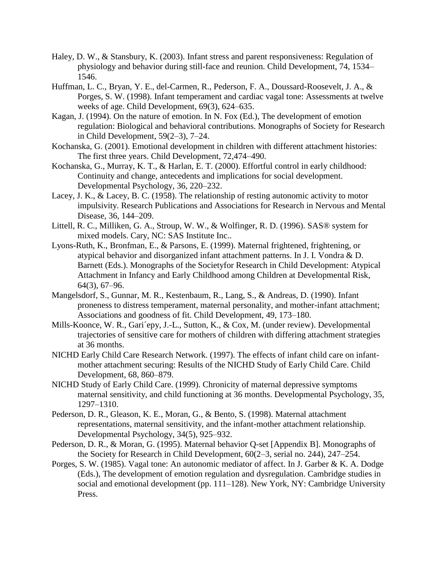- Haley, D. W., & Stansbury, K. (2003). Infant stress and parent responsiveness: Regulation of physiology and behavior during still-face and reunion. Child Development, 74, 1534– 1546.
- Huffman, L. C., Bryan, Y. E., del-Carmen, R., Pederson, F. A., Doussard-Roosevelt, J. A., & Porges, S. W. (1998). Infant temperament and cardiac vagal tone: Assessments at twelve weeks of age. Child Development, 69(3), 624–635.
- Kagan, J. (1994). On the nature of emotion. In N. Fox (Ed.), The development of emotion regulation: Biological and behavioral contributions. Monographs of Society for Research in Child Development, 59(2–3), 7–24.
- Kochanska, G. (2001). Emotional development in children with different attachment histories: The first three years. Child Development, 72,474–490.
- Kochanska, G., Murray, K. T., & Harlan, E. T. (2000). Effortful control in early childhood: Continuity and change, antecedents and implications for social development. Developmental Psychology, 36, 220–232.
- Lacey, J. K., & Lacey, B. C. (1958). The relationship of resting autonomic activity to motor impulsivity. Research Publications and Associations for Research in Nervous and Mental Disease, 36, 144–209.
- Littell, R. C., Milliken, G. A., Stroup, W. W., & Wolfinger, R. D. (1996). SAS® system for mixed models. Cary, NC: SAS Institute Inc..
- Lyons-Ruth, K., Bronfman, E., & Parsons, E. (1999). Maternal frightened, frightening, or atypical behavior and disorganized infant attachment patterns. In J. I. Vondra & D. Barnett (Eds.). Monographs of the Societyfor Research in Child Development: Atypical Attachment in Infancy and Early Childhood among Children at Developmental Risk, 64(3), 67–96.
- Mangelsdorf, S., Gunnar, M. R., Kestenbaum, R., Lang, S., & Andreas, D. (1990). Infant proneness to distress temperament, maternal personality, and mother-infant attachment; Associations and goodness of fit. Child Development, 49, 173–180.
- Mills-Koonce, W. R., Gari´epy, J.-L., Sutton, K., & Cox, M. (under review). Developmental trajectories of sensitive care for mothers of children with differing attachment strategies at 36 months.
- NICHD Early Child Care Research Network. (1997). The effects of infant child care on infantmother attachment securing: Results of the NICHD Study of Early Child Care. Child Development, 68, 860–879.
- NICHD Study of Early Child Care. (1999). Chronicity of maternal depressive symptoms maternal sensitivity, and child functioning at 36 months. Developmental Psychology, 35, 1297–1310.
- Pederson, D. R., Gleason, K. E., Moran, G., & Bento, S. (1998). Maternal attachment representations, maternal sensitivity, and the infant-mother attachment relationship. Developmental Psychology, 34(5), 925–932.
- Pederson, D. R., & Moran, G. (1995). Maternal behavior Q-set [Appendix B]. Monographs of the Society for Research in Child Development, 60(2–3, serial no. 244), 247–254.
- Porges, S. W. (1985). Vagal tone: An autonomic mediator of affect. In J. Garber & K. A. Dodge (Eds.), The development of emotion regulation and dysregulation. Cambridge studies in social and emotional development (pp. 111–128). New York, NY: Cambridge University Press.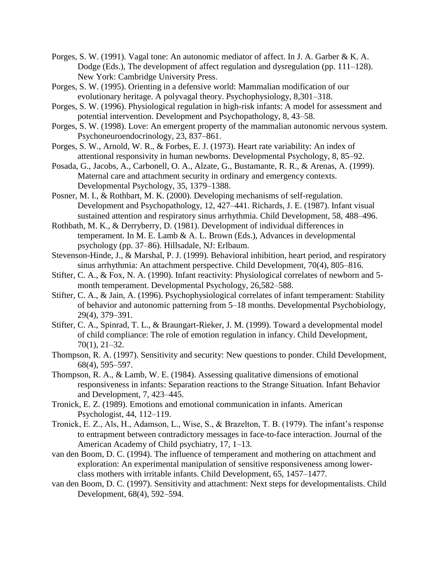- Porges, S. W. (1991). Vagal tone: An autonomic mediator of affect. In J. A. Garber & K. A. Dodge (Eds.), The development of affect regulation and dysregulation (pp. 111–128). New York: Cambridge University Press.
- Porges, S. W. (1995). Orienting in a defensive world: Mammalian modification of our evolutionary heritage. A polyvagal theory. Psychophysiology, 8,301–318.
- Porges, S. W. (1996). Physiological regulation in high-risk infants: A model for assessment and potential intervention. Development and Psychopathology, 8, 43–58.
- Porges, S. W. (1998). Love: An emergent property of the mammalian autonomic nervous system. Psychoneuroendocrinology, 23, 837–861.
- Porges, S. W., Arnold, W. R., & Forbes, E. J. (1973). Heart rate variability: An index of attentional responsivity in human newborns. Developmental Psychology, 8, 85–92.
- Posada, G., Jacobs, A., Carbonell, O. A., Alzate, G., Bustamante, R. R., & Arenas, A. (1999). Maternal care and attachment security in ordinary and emergency contexts. Developmental Psychology, 35, 1379–1388.
- Posner, M. I., & Rothbart, M. K. (2000). Developing mechanisms of self-regulation. Development and Psychopathology, 12, 427–441. Richards, J. E. (1987). Infant visual sustained attention and respiratory sinus arrhythmia. Child Development, 58, 488–496.
- Rothbath, M. K., & Derryberry, D. (1981). Development of individual differences in temperament. In M. E. Lamb & A. L. Brown (Eds.), Advances in developmental psychology (pp. 37–86). Hillsadale, NJ: Erlbaum.
- Stevenson-Hinde, J., & Marshal, P. J. (1999). Behavioral inhibition, heart period, and respiratory sinus arrhythmia: An attachment perspective. Child Development, 70(4), 805–816.
- Stifter, C. A., & Fox, N. A. (1990). Infant reactivity: Physiological correlates of newborn and 5 month temperament. Developmental Psychology, 26,582–588.
- Stifter, C. A., & Jain, A. (1996). Psychophysiological correlates of infant temperament: Stability of behavior and autonomic patterning from 5–18 months. Developmental Psychobiology, 29(4), 379–391.
- Stifter, C. A., Spinrad, T. L., & Braungart-Rieker, J. M. (1999). Toward a developmental model of child compliance: The role of emotion regulation in infancy. Child Development, 70(1), 21–32.
- Thompson, R. A. (1997). Sensitivity and security: New questions to ponder. Child Development, 68(4), 595–597.
- Thompson, R. A., & Lamb, W. E. (1984). Assessing qualitative dimensions of emotional responsiveness in infants: Separation reactions to the Strange Situation. Infant Behavior and Development, 7, 423–445.
- Tronick, E. Z. (1989). Emotions and emotional communication in infants. American Psychologist, 44, 112–119.
- Tronick, E. Z., Als, H., Adamson, L., Wise, S., & Brazelton, T. B. (1979). The infant's response to entrapment between contradictory messages in face-to-face interaction. Journal of the American Academy of Child psychiatry, 17, 1–13.
- van den Boom, D. C. (1994). The influence of temperament and mothering on attachment and exploration: An experimental manipulation of sensitive responsiveness among lowerclass mothers with irritable infants. Child Development, 65, 1457–1477.
- van den Boom, D. C. (1997). Sensitivity and attachment: Next steps for developmentalists. Child Development, 68(4), 592–594.